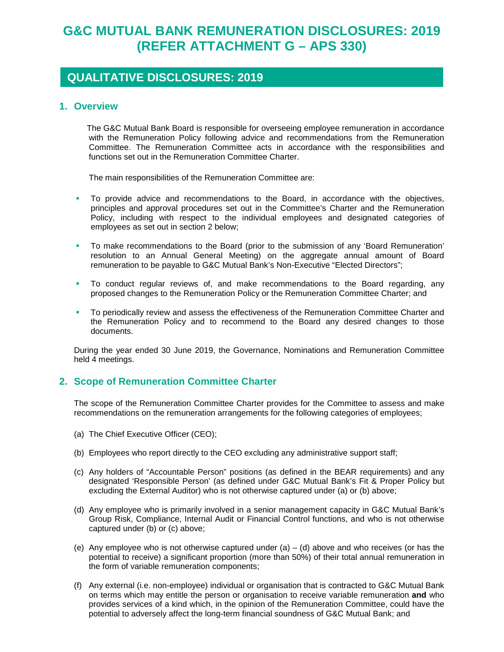# **G&C MUTUAL BANK REMUNERATION DISCLOSURES: 2019 (REFER ATTACHMENT G – APS 330)**

# **QUALITATIVE DISCLOSURES: 2019**

#### **1. Overview**

 The G&C Mutual Bank Board is responsible for overseeing employee remuneration in accordance with the Remuneration Policy following advice and recommendations from the Remuneration Committee. The Remuneration Committee acts in accordance with the responsibilities and functions set out in the Remuneration Committee Charter.

The main responsibilities of the Remuneration Committee are:

- To provide advice and recommendations to the Board, in accordance with the objectives, principles and approval procedures set out in the Committee's Charter and the Remuneration Policy, including with respect to the individual employees and designated categories of employees as set out in section 2 below;
- To make recommendations to the Board (prior to the submission of any 'Board Remuneration' resolution to an Annual General Meeting) on the aggregate annual amount of Board remuneration to be payable to G&C Mutual Bank's Non-Executive "Elected Directors";
- To conduct regular reviews of, and make recommendations to the Board regarding, any proposed changes to the Remuneration Policy or the Remuneration Committee Charter; and
- To periodically review and assess the effectiveness of the Remuneration Committee Charter and the Remuneration Policy and to recommend to the Board any desired changes to those documents.

During the year ended 30 June 2019, the Governance, Nominations and Remuneration Committee held 4 meetings.

# **2. Scope of Remuneration Committee Charter**

The scope of the Remuneration Committee Charter provides for the Committee to assess and make recommendations on the remuneration arrangements for the following categories of employees;

- (a) The Chief Executive Officer (CEO);
- (b) Employees who report directly to the CEO excluding any administrative support staff;
- (c) Any holders of "Accountable Person" positions (as defined in the BEAR requirements) and any designated 'Responsible Person' (as defined under G&C Mutual Bank's Fit & Proper Policy but excluding the External Auditor) who is not otherwise captured under (a) or (b) above;
- (d) Any employee who is primarily involved in a senior management capacity in G&C Mutual Bank's Group Risk, Compliance, Internal Audit or Financial Control functions, and who is not otherwise captured under (b) or (c) above;
- (e) Any employee who is not otherwise captured under  $(a) (d)$  above and who receives (or has the potential to receive) a significant proportion (more than 50%) of their total annual remuneration in the form of variable remuneration components;
- (f) Any external (i.e. non-employee) individual or organisation that is contracted to G&C Mutual Bank on terms which may entitle the person or organisation to receive variable remuneration **and** who provides services of a kind which, in the opinion of the Remuneration Committee, could have the potential to adversely affect the long-term financial soundness of G&C Mutual Bank; and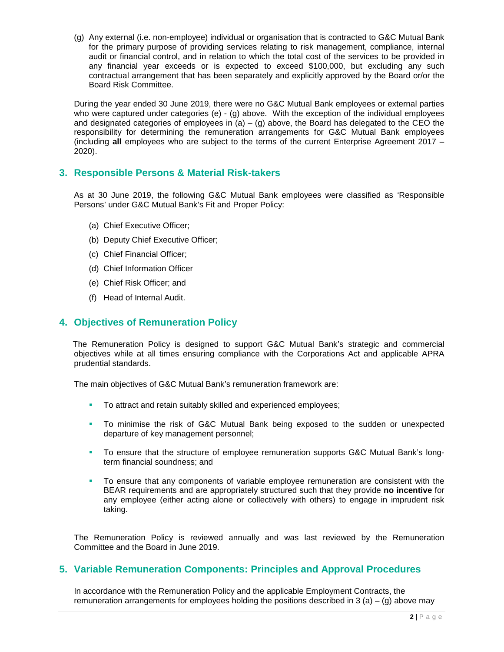(g) Any external (i.e. non-employee) individual or organisation that is contracted to G&C Mutual Bank for the primary purpose of providing services relating to risk management, compliance, internal audit or financial control, and in relation to which the total cost of the services to be provided in any financial year exceeds or is expected to exceed \$100,000, but excluding any such contractual arrangement that has been separately and explicitly approved by the Board or/or the Board Risk Committee.

During the year ended 30 June 2019, there were no G&C Mutual Bank employees or external parties who were captured under categories (e) - (g) above. With the exception of the individual employees and designated categories of employees in (a)  $-$  (g) above, the Board has delegated to the CEO the responsibility for determining the remuneration arrangements for G&C Mutual Bank employees (including **all** employees who are subject to the terms of the current Enterprise Agreement 2017 – 2020).

# **3. Responsible Persons & Material Risk-takers**

As at 30 June 2019, the following G&C Mutual Bank employees were classified as 'Responsible Persons' under G&C Mutual Bank's Fit and Proper Policy:

- (a) Chief Executive Officer;
- (b) Deputy Chief Executive Officer;
- (c) Chief Financial Officer;
- (d) Chief Information Officer
- (e) Chief Risk Officer; and
- (f) Head of Internal Audit.

## **4. Objectives of Remuneration Policy**

 The Remuneration Policy is designed to support G&C Mutual Bank's strategic and commercial objectives while at all times ensuring compliance with the Corporations Act and applicable APRA prudential standards.

The main objectives of G&C Mutual Bank's remuneration framework are:

- To attract and retain suitably skilled and experienced employees;
- To minimise the risk of G&C Mutual Bank being exposed to the sudden or unexpected departure of key management personnel;
- To ensure that the structure of employee remuneration supports G&C Mutual Bank's longterm financial soundness; and
- To ensure that any components of variable employee remuneration are consistent with the BEAR requirements and are appropriately structured such that they provide **no incentive** for any employee (either acting alone or collectively with others) to engage in imprudent risk taking.

The Remuneration Policy is reviewed annually and was last reviewed by the Remuneration Committee and the Board in June 2019.

#### **5. Variable Remuneration Components: Principles and Approval Procedures**

In accordance with the Remuneration Policy and the applicable Employment Contracts, the remuneration arrangements for employees holding the positions described in 3 (a) – (g) above may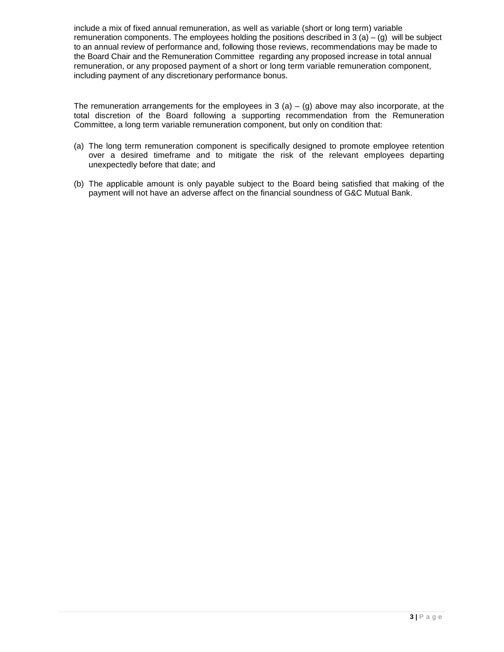include a mix of fixed annual remuneration, as well as variable (short or long term) variable remuneration components. The employees holding the positions described in  $3$  (a)  $-$  (g) will be subject to an annual review of performance and, following those reviews, recommendations may be made to the Board Chair and the Remuneration Committee regarding any proposed increase in total annual remuneration, or any proposed payment of a short or long term variable remuneration component, including payment of any discretionary performance bonus.

The remuneration arrangements for the employees in  $3$  (a) – (g) above may also incorporate, at the total discretion of the Board following a supporting recommendation from the Remuneration Committee, a long term variable remuneration component, but only on condition that:

- (a) The long term remuneration component is specifically designed to promote employee retention over a desired timeframe and to mitigate the risk of the relevant employees departing unexpectedly before that date; and
- (b) The applicable amount is only payable subject to the Board being satisfied that making of the payment will not have an adverse affect on the financial soundness of G&C Mutual Bank.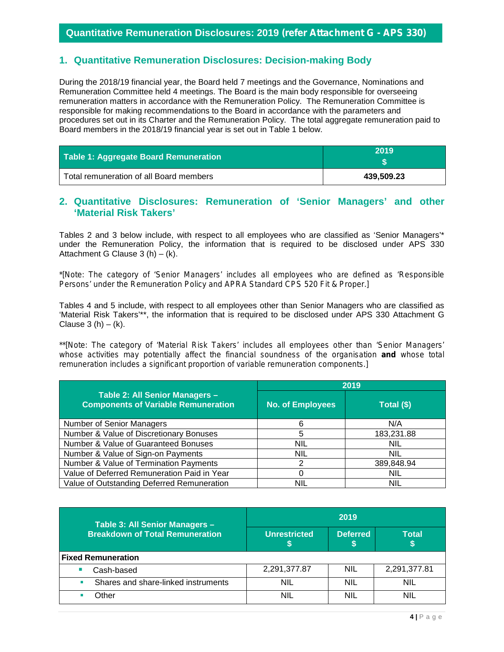#### **Quantitative Remuneration Disclosures: 2019** *(refer Attachment G - APS 330)*

## **1. Quantitative Remuneration Disclosures: Decision-making Body**

During the 2018/19 financial year, the Board held 7 meetings and the Governance, Nominations and Remuneration Committee held 4 meetings. The Board is the main body responsible for overseeing remuneration matters in accordance with the Remuneration Policy. The Remuneration Committee is responsible for making recommendations to the Board in accordance with the parameters and procedures set out in its Charter and the Remuneration Policy. The total aggregate remuneration paid to Board members in the 2018/19 financial year is set out in Table 1 below.

| Table 1: Aggregate Board Remuneration   | 2019       |
|-----------------------------------------|------------|
| Total remuneration of all Board members | 439.509.23 |

#### **2. Quantitative Disclosures: Remuneration of 'Senior Managers' and other 'Material Risk Takers'**

Tables 2 and 3 below include, with respect to all employees who are classified as 'Senior Managers'\* under the Remuneration Policy, the information that is required to be disclosed under APS 330 Attachment G Clause 3 (h)  $-$  (k).

*\*[Note: The category of 'Senior Managers' includes all employees who are defined as 'Responsible Persons' under the Remuneration Policy and APRA Standard CPS 520 Fit & Proper.]*

Tables 4 and 5 include, with respect to all employees other than Senior Managers who are classified as 'Material Risk Takers'\*\*, the information that is required to be disclosed under APS 330 Attachment G Clause  $3(h) - (k)$ .

*\*\*[Note: The category of 'Material Risk Takers' includes all employees other than 'Senior Managers'*  whose activities may potentially affect the financial soundness of the organisation **and** whose total *remuneration includes a significant proportion of variable remuneration components.]*

|                                                                              | 2019                    |            |  |
|------------------------------------------------------------------------------|-------------------------|------------|--|
| Table 2: All Senior Managers -<br><b>Components of Variable Remuneration</b> | <b>No. of Employees</b> | Total (\$) |  |
| Number of Senior Managers                                                    | 6                       | N/A        |  |
| Number & Value of Discretionary Bonuses                                      | 5                       | 183,231.88 |  |
| Number & Value of Guaranteed Bonuses                                         | NIL                     | <b>NIL</b> |  |
| Number & Value of Sign-on Payments                                           | <b>NIL</b>              | <b>NIL</b> |  |
| Number & Value of Termination Payments                                       | າ                       | 389,848.94 |  |
| Value of Deferred Remuneration Paid in Year                                  |                         | <b>NIL</b> |  |
| Value of Outstanding Deferred Remuneration                                   | nil                     | <b>NIL</b> |  |

| Table 3: All Senior Managers -<br><b>Breakdown of Total Remuneration</b> | 2019                |                 |              |
|--------------------------------------------------------------------------|---------------------|-----------------|--------------|
|                                                                          | <b>Unrestricted</b> | <b>Deferred</b> | <b>Total</b> |
| <b>Fixed Remuneration</b>                                                |                     |                 |              |
| Cash-based                                                               | 2,291,377.87        | <b>NIL</b>      | 2,291,377.81 |
| Shares and share-linked instruments                                      | nil                 | <b>NIL</b>      | <b>NIL</b>   |
| )ther                                                                    | nil                 | nil             | NIL          |